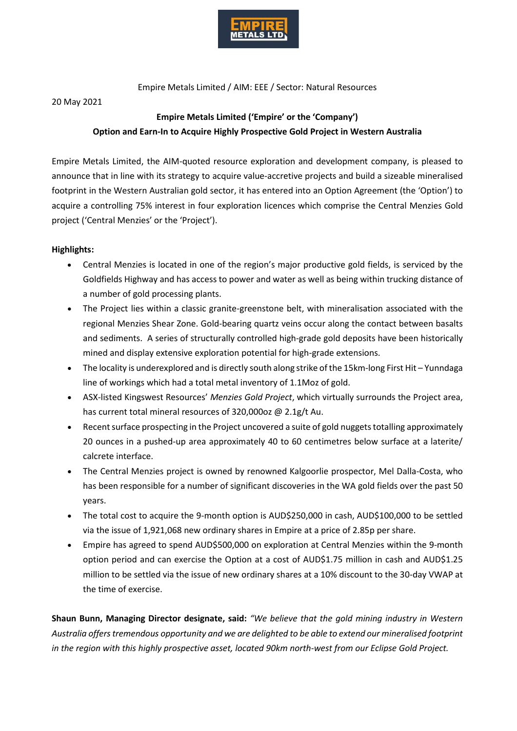

Empire Metals Limited / AIM: EEE / Sector: Natural Resources

#### 20 May 2021

# **Empire Metals Limited ('Empire' or the 'Company') Option and Earn-In to Acquire Highly Prospective Gold Project in Western Australia**

Empire Metals Limited, the AIM-quoted resource exploration and development company, is pleased to announce that in line with its strategy to acquire value-accretive projects and build a sizeable mineralised footprint in the Western Australian gold sector, it has entered into an Option Agreement (the 'Option') to acquire a controlling 75% interest in four exploration licences which comprise the Central Menzies Gold project ('Central Menzies' or the 'Project').

# **Highlights:**

- Central Menzies is located in one of the region's major productive gold fields, is serviced by the Goldfields Highway and has access to power and water as well as being within trucking distance of a number of gold processing plants.
- The Project lies within a classic granite-greenstone belt, with mineralisation associated with the regional Menzies Shear Zone. Gold-bearing quartz veins occur along the contact between basalts and sediments. A series of structurally controlled high-grade gold deposits have been historically mined and display extensive exploration potential for high-grade extensions.
- The locality is underexplored and is directly south along strike of the 15km-long First Hit Yunndaga line of workings which had a total metal inventory of 1.1Moz of gold.
- ASX-listed Kingswest Resources' *Menzies Gold Project*, which virtually surrounds the Project area, has current total mineral resources of 320,000oz @ 2.1g/t Au.
- Recent surface prospecting in the Project uncovered a suite of gold nuggets totalling approximately 20 ounces in a pushed-up area approximately 40 to 60 centimetres below surface at a laterite/ calcrete interface.
- The Central Menzies project is owned by renowned Kalgoorlie prospector, Mel Dalla-Costa, who has been responsible for a number of significant discoveries in the WA gold fields over the past 50 years.
- The total cost to acquire the 9-month option is AUD\$250,000 in cash, AUD\$100,000 to be settled via the issue of 1,921,068 new ordinary shares in Empire at a price of 2.85p per share.
- Empire has agreed to spend AUD\$500,000 on exploration at Central Menzies within the 9-month option period and can exercise the Option at a cost of AUD\$1.75 million in cash and AUD\$1.25 million to be settled via the issue of new ordinary shares at a 10% discount to the 30-day VWAP at the time of exercise.

**Shaun Bunn, Managing Director designate, said:** *"We believe that the gold mining industry in Western Australia offers tremendous opportunity and we are delighted to be able to extend our mineralised footprint in the region with this highly prospective asset, located 90km north-west from our Eclipse Gold Project.*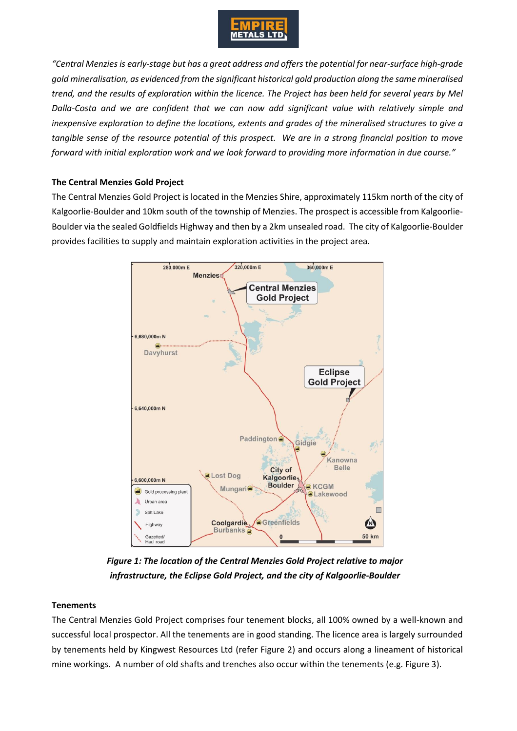

*"Central Menzies is early-stage but has a great address and offers the potential for near-surface high-grade gold mineralisation, as evidenced from the significant historical gold production along the same mineralised trend, and the results of exploration within the licence. The Project has been held for several years by Mel Dalla-Costa and we are confident that we can now add significant value with relatively simple and inexpensive exploration to define the locations, extents and grades of the mineralised structures to give a tangible sense of the resource potential of this prospect. We are in a strong financial position to move forward with initial exploration work and we look forward to providing more information in due course."*

#### **The Central Menzies Gold Project**

The Central Menzies Gold Project is located in the Menzies Shire, approximately 115km north of the city of Kalgoorlie-Boulder and 10km south of the township of Menzies. The prospect is accessible from Kalgoorlie-Boulder via the sealed Goldfields Highway and then by a 2km unsealed road. The city of Kalgoorlie-Boulder provides facilities to supply and maintain exploration activities in the project area.



*Figure 1: The location of the Central Menzies Gold Project relative to major infrastructure, the Eclipse Gold Project, and the city of Kalgoorlie-Boulder*

# **Tenements**

The Central Menzies Gold Project comprises four tenement blocks, all 100% owned by a well-known and successful local prospector. All the tenements are in good standing. The licence area is largely surrounded by tenements held by Kingwest Resources Ltd (refer Figure 2) and occurs along a lineament of historical mine workings. A number of old shafts and trenches also occur within the tenements (e.g. Figure 3).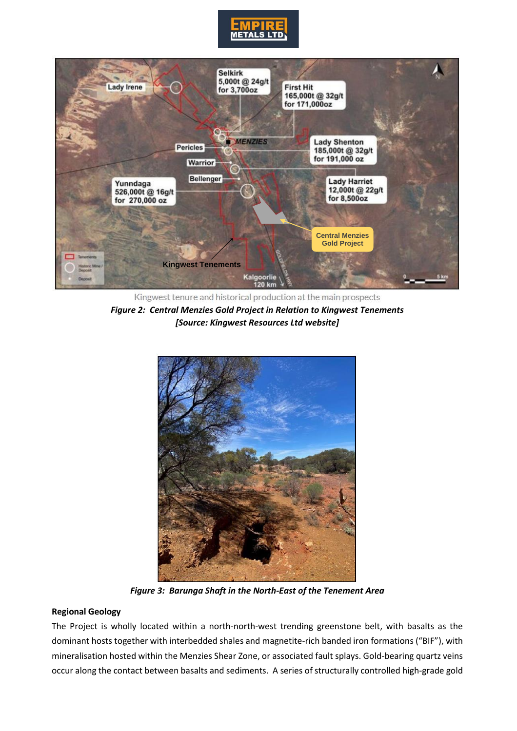



Kingwest tenure and historical production at the main prospects *Figure 2: Central Menzies Gold Project in Relation to Kingwest Tenements [Source: Kingwest Resources Ltd website]*



*Figure 3: Barunga Shaft in the North-East of the Tenement Area*

#### **Regional Geology**

The Project is wholly located within a north-north-west trending greenstone belt, with basalts as the dominant hosts together with interbedded shales and magnetite-rich banded iron formations ("BIF"), with mineralisation hosted within the Menzies Shear Zone, or associated fault splays. Gold-bearing quartz veins occur along the contact between basalts and sediments. A series of structurally controlled high-grade gold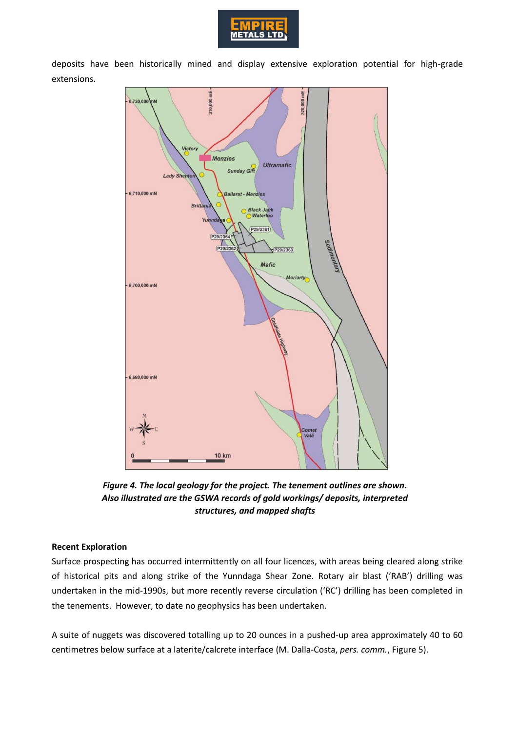

deposits have been historically mined and display extensive exploration potential for high-grade extensions.



*Figure 4. The local geology for the project. The tenement outlines are shown. Also illustrated are the GSWA records of gold workings/ deposits, interpreted structures, and mapped shafts*

# **Recent Exploration**

Surface prospecting has occurred intermittently on all four licences, with areas being cleared along strike of historical pits and along strike of the Yunndaga Shear Zone. Rotary air blast ('RAB') drilling was undertaken in the mid-1990s, but more recently reverse circulation ('RC') drilling has been completed in the tenements. However, to date no geophysics has been undertaken.

A suite of nuggets was discovered totalling up to 20 ounces in a pushed-up area approximately 40 to 60 centimetres below surface at a laterite/calcrete interface (M. Dalla-Costa, *pers. comm.*, Figure 5).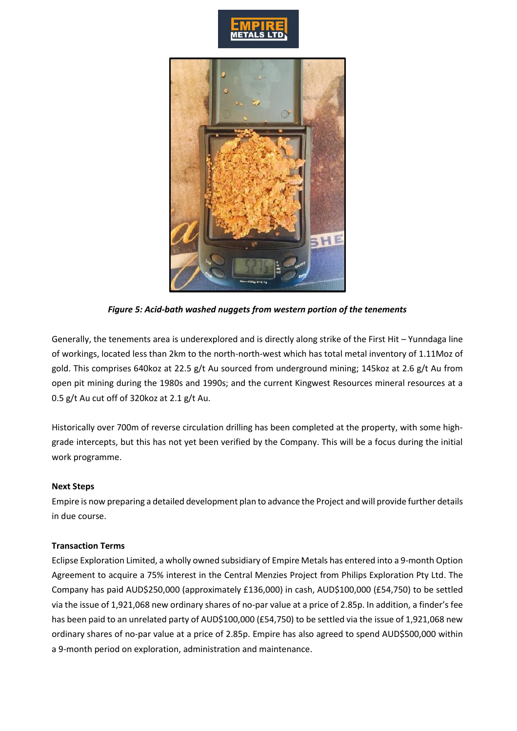



*Figure 5: Acid-bath washed nuggets from western portion of the tenements*

Generally, the tenements area is underexplored and is directly along strike of the First Hit – Yunndaga line of workings, located less than 2km to the north-north-west which has total metal inventory of 1.11Moz of gold. This comprises 640koz at 22.5 g/t Au sourced from underground mining; 145koz at 2.6 g/t Au from open pit mining during the 1980s and 1990s; and the current Kingwest Resources mineral resources at a 0.5 g/t Au cut off of 320koz at 2.1 g/t Au.

Historically over 700m of reverse circulation drilling has been completed at the property, with some highgrade intercepts, but this has not yet been verified by the Company. This will be a focus during the initial work programme.

#### **Next Steps**

Empire is now preparing a detailed development plan to advance the Project and will provide further details in due course.

#### **Transaction Terms**

Eclipse Exploration Limited, a wholly owned subsidiary of Empire Metals has entered into a 9-month Option Agreement to acquire a 75% interest in the Central Menzies Project from Philips Exploration Pty Ltd. The Company has paid AUD\$250,000 (approximately £136,000) in cash, AUD\$100,000 (£54,750) to be settled via the issue of 1,921,068 new ordinary shares of no-par value at a price of 2.85p. In addition, a finder's fee has been paid to an unrelated party of AUD\$100,000 (£54,750) to be settled via the issue of 1,921,068 new ordinary shares of no-par value at a price of 2.85p. Empire has also agreed to spend AUD\$500,000 within a 9-month period on exploration, administration and maintenance.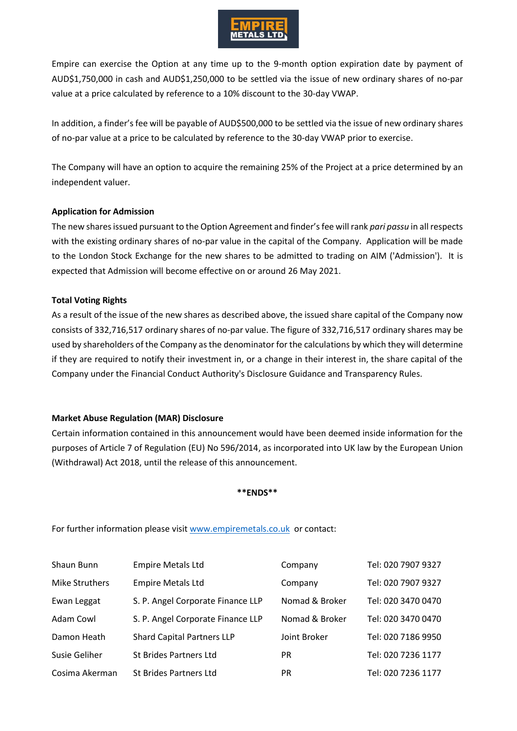

Empire can exercise the Option at any time up to the 9-month option expiration date by payment of AUD\$1,750,000 in cash and AUD\$1,250,000 to be settled via the issue of new ordinary shares of no-par value at a price calculated by reference to a 10% discount to the 30-day VWAP.

In addition, a finder's fee will be payable of AUD\$500,000 to be settled via the issue of new ordinary shares of no-par value at a price to be calculated by reference to the 30-day VWAP prior to exercise.

The Company will have an option to acquire the remaining 25% of the Project at a price determined by an independent valuer.

## **Application for Admission**

The new shares issued pursuant to the Option Agreement and finder's fee will rank *pari passu* in all respects with the existing ordinary shares of no-par value in the capital of the Company. Application will be made to the London Stock Exchange for the new shares to be admitted to trading on AIM ('Admission'). It is expected that Admission will become effective on or around 26 May 2021.

## **Total Voting Rights**

As a result of the issue of the new shares as described above, the issued share capital of the Company now consists of 332,716,517 ordinary shares of no-par value. The figure of 332,716,517 ordinary shares may be used by shareholders of the Company as the denominator for the calculations by which they will determine if they are required to notify their investment in, or a change in their interest in, the share capital of the Company under the Financial Conduct Authority's Disclosure Guidance and Transparency Rules.

# **Market Abuse Regulation (MAR) Disclosure**

Certain information contained in this announcement would have been deemed inside information for the purposes of Article 7 of Regulation (EU) No 596/2014, as incorporated into UK law by the European Union (Withdrawal) Act 2018, until the release of this announcement.

#### **\*\*ENDS\*\***

For further information please visit [www.empiremetals.co.uk](http://www.empiremetals.co.uk/) or contact:

| Shaun Bunn     | <b>Empire Metals Ltd</b>          | Company        | Tel: 020 7907 9327 |
|----------------|-----------------------------------|----------------|--------------------|
| Mike Struthers | <b>Empire Metals Ltd</b>          | Company        | Tel: 020 7907 9327 |
| Ewan Leggat    | S. P. Angel Corporate Finance LLP | Nomad & Broker | Tel: 020 3470 0470 |
| Adam Cowl      | S. P. Angel Corporate Finance LLP | Nomad & Broker | Tel: 020 3470 0470 |
| Damon Heath    | <b>Shard Capital Partners LLP</b> | Joint Broker   | Tel: 020 7186 9950 |
| Susie Geliher  | St Brides Partners Ltd            | <b>PR</b>      | Tel: 020 7236 1177 |
| Cosima Akerman | St Brides Partners Ltd            | <b>PR</b>      | Tel: 020 7236 1177 |